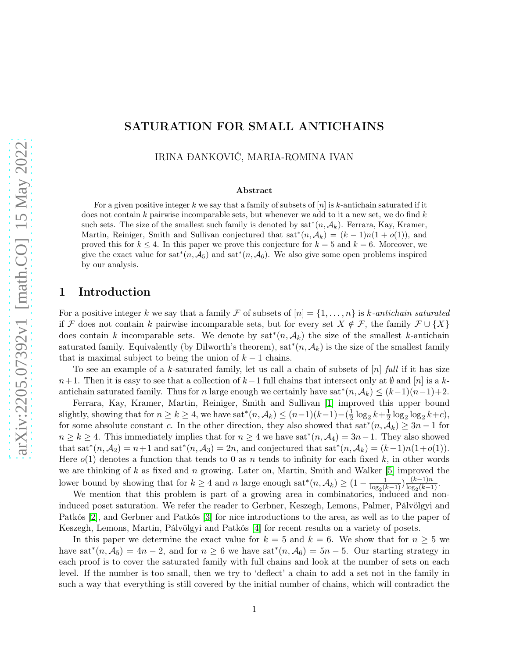# SATURATION FOR SMALL ANTICHAINS

IRINA ÐANKOVIĆ, MARIA-ROMINA IVAN

#### Abstract

For a given positive integer k we say that a family of subsets of  $[n]$  is k-antichain saturated if it does not contain k pairwise incomparable sets, but whenever we add to it a new set, we do find  $k$ such sets. The size of the smallest such family is denoted by  $sat^*(n, \mathcal{A}_k)$ . Ferrara, Kay, Kramer, Martin, Reiniger, Smith and Sullivan conjectured that  $sat^*(n,\mathcal{A}_k)=(k-1)n(1+o(1))$ , and proved this for  $k \leq 4$ . In this paper we prove this conjecture for  $k = 5$  and  $k = 6$ . Moreover, we give the exact value for sat<sup>\*</sup> $(n, \mathcal{A}_5)$  and sat<sup>\*</sup> $(n, \mathcal{A}_6)$ . We also give some open problems inspired by our analysis.

# 1 Introduction

For a positive integer k we say that a family F of subsets of  $[n] = \{1, \ldots, n\}$  is k-antichain saturated if F does not contain k pairwise incomparable sets, but for every set  $X \notin \mathcal{F}$ , the family  $\mathcal{F} \cup \{X\}$ does contain k incomparable sets. We denote by  $sat^*(n, \mathcal{A}_k)$  the size of the smallest k-antichain saturated family. Equivalently (by Dilworth's theorem), sat<sup>∗</sup> $(n, \mathcal{A}_k)$  is the size of the smallest family that is maximal subject to being the union of  $k - 1$  chains.

To see an example of a k-saturated family, let us call a chain of subsets of  $[n]$  full if it has size  $n+1$ . Then it is easy to see that a collection of  $k-1$  full chains that intersect only at  $\emptyset$  and  $[n]$  is a kantichain saturated family. Thus for n large enough we certainly have sat<sup>\*</sup> $(n, \mathcal{A}_k) \leq (k-1)(n-1)+2$ .

Ferrara, Kay, Kramer, Martin, Reiniger, Smith and Sullivan [\[1\]](#page-7-0) improved this upper bound slightly, showing that for  $n \ge k \ge 4$ , we have sat<sup>\*</sup> $(n, A_k) \le (n-1)(k-1) - (\frac{1}{2})$  $\frac{1}{2} \log_2 k + \frac{1}{2}$  $\frac{1}{2}\log_2\log_2 k+c$ , for some absolute constant c. In the other direction, they also showed that  $sat^*(n,\mathcal{A}_k) \geq 3n-1$  for  $n \ge k \ge 4$ . This immediately implies that for  $n \ge 4$  we have sat<sup>\*</sup> $(n, \mathcal{A}_4) = 3n-1$ . They also showed that sat<sup>\*</sup> $(n, A_2) = n+1$  and sat<sup>\*</sup> $(n, A_3) = 2n$ , and conjectured that sat<sup>\*</sup> $(n, A_k) = (k-1)n(1+o(1)).$ Here  $o(1)$  denotes a function that tends to 0 as n tends to infinity for each fixed k, in other words we are thinking of  $k$  as fixed and  $n$  growing. Later on, Martin, Smith and Walker [\[5\]](#page-7-1) improved the lower bound by showing that for  $k \geq 4$  and n large enough sat<sup>\*</sup> $(n, \mathcal{A}_k) \geq (1 - \frac{1}{\log_2(k)}$  $\frac{1}{\log_2(k-1)}\frac{(k-1)n}{\log_2(k-1)}$  $\frac{\frac{k-1}{n}}{\log_2(k-1)}$ .

We mention that this problem is part of a growing area in combinatorics, induced and noninduced poset saturation. We refer the reader to Gerbner, Keszegh, Lemons, Palmer, Pálvölgyi and Patkós [\[2\]](#page-7-2), and Gerbner and Patkós [\[3\]](#page-7-3) for nice introductions to the area, as well as to the paper of Keszegh, Lemons, Martin, Pálvölgyi and Patkós [\[4\]](#page-7-4) for recent results on a variety of posets.

In this paper we determine the exact value for  $k = 5$  and  $k = 6$ . We show that for  $n \geq 5$  we have sat<sup>\*</sup> $(n, \tilde{A}_5) = 4n - 2$ , and for  $n \ge 6$  we have sat<sup>\*</sup> $(n, \tilde{A}_6) = 5n - 5$ . Our starting strategy in each proof is to cover the saturated family with full chains and look at the number of sets on each level. If the number is too small, then we try to 'deflect' a chain to add a set not in the family in such a way that everything is still covered by the initial number of chains, which will contradict the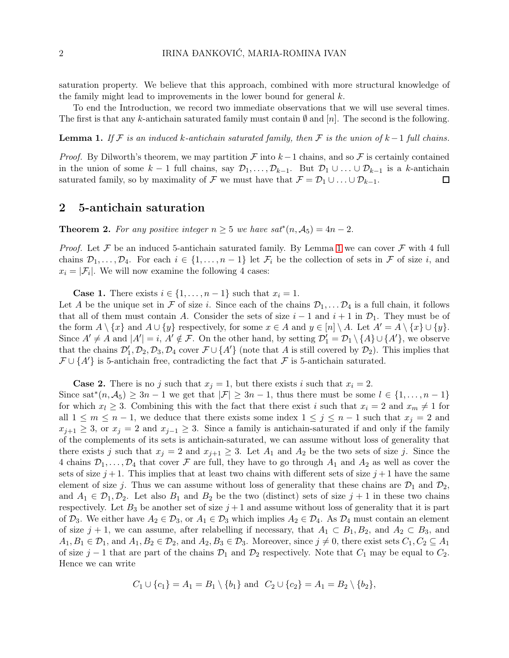saturation property. We believe that this approach, combined with more structural knowledge of the family might lead to improvements in the lower bound for general  $k$ .

To end the Introduction, we record two immediate observations that we will use several times. The first is that any k-antichain saturated family must contain  $\emptyset$  and  $[n]$ . The second is the following.

<span id="page-1-0"></span>**Lemma 1.** If F is an induced k-antichain saturated family, then F is the union of  $k-1$  full chains.

*Proof.* By Dilworth's theorem, we may partition F into  $k-1$  chains, and so F is certainly contained in the union of some  $k-1$  full chains, say  $\mathcal{D}_1,\ldots,\mathcal{D}_{k-1}$ . But  $\mathcal{D}_1\cup\ldots\cup\mathcal{D}_{k-1}$  is a k-antichain saturated family, so by maximality of F we must have that  $\mathcal{F} = \mathcal{D}_1 \cup \ldots \cup \mathcal{D}_{k-1}$ . □

#### 2 5-antichain saturation

<span id="page-1-1"></span>**Theorem 2.** For any positive integer  $n \geq 5$  we have  $sat^*(n, \mathcal{A}_5) = 4n - 2$ .

*Proof.* Let F be an induced 5-antichain saturated family. By Lemma [1](#page-1-0) we can cover F with 4 full chains  $\mathcal{D}_1,\ldots,\mathcal{D}_4$ . For each  $i \in \{1,\ldots,n-1\}$  let  $\mathcal{F}_i$  be the collection of sets in  $\mathcal F$  of size i, and  $x_i = |\mathcal{F}_i|$ . We will now examine the following 4 cases:

**Case 1.** There exists  $i \in \{1, \ldots, n-1\}$  such that  $x_i = 1$ .

Let A be the unique set in F of size i. Since each of the chains  $\mathcal{D}_1, \ldots, \mathcal{D}_4$  is a full chain, it follows that all of them must contain A. Consider the sets of size  $i-1$  and  $i+1$  in  $\mathcal{D}_1$ . They must be of the form  $A \setminus \{x\}$  and  $A \cup \{y\}$  respectively, for some  $x \in A$  and  $y \in [n] \setminus A$ . Let  $A' = A \setminus \{x\} \cup \{y\}$ . Since  $A' \neq A$  and  $|A'| = i$ ,  $A' \notin \mathcal{F}$ . On the other hand, by setting  $\mathcal{D}'_1 = \mathcal{D}_1 \setminus \{A\} \cup \{A'\}$ , we observe that the chains  $\mathcal{D}'_1, \mathcal{D}_2, \mathcal{D}_3, \mathcal{D}_4$  cover  $\mathcal{F} \cup \{A'\}$  (note that A is still covered by  $\mathcal{D}_2$ ). This implies that  $\mathcal{F} \cup \{A'\}$  is 5-antichain free, contradicting the fact that  $\mathcal F$  is 5-antichain saturated.

**Case 2.** There is no j such that  $x_i = 1$ , but there exists i such that  $x_i = 2$ .

Since sat<sup>\*</sup> $(n, A_5) \geq 3n - 1$  we get that  $|\mathcal{F}| \geq 3n - 1$ , thus there must be some  $l \in \{1, ..., n - 1\}$ for which  $x_l \geq 3$ . Combining this with the fact that there exist i such that  $x_i = 2$  and  $x_m \neq 1$  for all  $1 \leq m \leq n-1$ , we deduce that there exists some index  $1 \leq j \leq n-1$  such that  $x_j = 2$  and  $x_{j+1} \geq 3$ , or  $x_j = 2$  and  $x_{j-1} \geq 3$ . Since a family is antichain-saturated if and only if the family of the complements of its sets is antichain-saturated, we can assume without loss of generality that there exists j such that  $x_j = 2$  and  $x_{j+1} \geq 3$ . Let  $A_1$  and  $A_2$  be the two sets of size j. Since the 4 chains  $\mathcal{D}_1,\ldots,\mathcal{D}_4$  that cover F are full, they have to go through  $A_1$  and  $A_2$  as well as cover the sets of size  $j+1$ . This implies that at least two chains with different sets of size  $j+1$  have the same element of size j. Thus we can assume without loss of generality that these chains are  $\mathcal{D}_1$  and  $\mathcal{D}_2$ , and  $A_1 \in \mathcal{D}_1, \mathcal{D}_2$ . Let also  $B_1$  and  $B_2$  be the two (distinct) sets of size  $j+1$  in these two chains respectively. Let  $B_3$  be another set of size  $j+1$  and assume without loss of generality that it is part of  $\mathcal{D}_3$ . We either have  $A_2 \in \mathcal{D}_3$ , or  $A_1 \in \mathcal{D}_3$  which implies  $A_2 \in \mathcal{D}_4$ . As  $\mathcal{D}_4$  must contain an element of size  $j + 1$ , we can assume, after relabelling if necessary, that  $A_1 \subset B_1, B_2$ , and  $A_2 \subset B_3$ , and  $A_1, B_1 \in \mathcal{D}_1$ , and  $A_1, B_2 \in \mathcal{D}_2$ , and  $A_2, B_3 \in \mathcal{D}_3$ . Moreover, since  $j \neq 0$ , there exist sets  $C_1, C_2 \subseteq A_1$ of size j – 1 that are part of the chains  $\mathcal{D}_1$  and  $\mathcal{D}_2$  respectively. Note that  $C_1$  may be equal to  $C_2$ . Hence we can write

$$
C_1 \cup \{c_1\} = A_1 = B_1 \setminus \{b_1\}
$$
 and  $C_2 \cup \{c_2\} = A_1 = B_2 \setminus \{b_2\}$ ,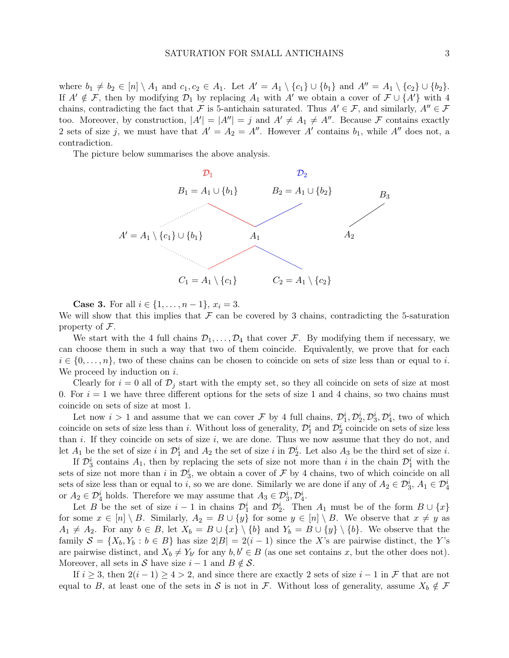where  $b_1 \neq b_2 \in [n] \setminus A_1$  and  $c_1, c_2 \in A_1$ . Let  $A' = A_1 \setminus \{c_1\} \cup \{b_1\}$  and  $A'' = A_1 \setminus \{c_2\} \cup \{b_2\}.$ If  $A' \notin \mathcal{F}$ , then by modifying  $\mathcal{D}_1$  by replacing  $A_1$  with A' we obtain a cover of  $\mathcal{F} \cup \{A'\}$  with 4 chains, contradicting the fact that F is 5-antichain saturated. Thus  $A' \in \mathcal{F}$ , and similarly,  $A'' \in \mathcal{F}$ too. Moreover, by construction,  $|A'| = |A''| = j$  and  $A' \neq A_1 \neq A''$ . Because F contains exactly 2 sets of size j, we must have that  $A' = A_2 = A''$ . However A' contains  $b_1$ , while A'' does not, a contradiction.

The picture below summarises the above analysis.



**Case 3.** For all  $i \in \{1, ..., n-1\}$ ,  $x_i = 3$ .

We will show that this implies that  $\mathcal F$  can be covered by 3 chains, contradicting the 5-saturation property of  $\mathcal{F}$ .

We start with the 4 full chains  $\mathcal{D}_1,\ldots,\mathcal{D}_4$  that cover F. By modifying them if necessary, we can choose them in such a way that two of them coincide. Equivalently, we prove that for each  $i \in \{0, \ldots, n\}$ , two of these chains can be chosen to coincide on sets of size less than or equal to i. We proceed by induction on  $i$ .

Clearly for  $i = 0$  all of  $\mathcal{D}_j$  start with the empty set, so they all coincide on sets of size at most 0. For  $i = 1$  we have three different options for the sets of size 1 and 4 chains, so two chains must coincide on sets of size at most 1.

Let now  $i > 1$  and assume that we can cover F by 4 full chains,  $\mathcal{D}_1^i, \mathcal{D}_2^i, \mathcal{D}_3^i, \mathcal{D}_4^i$ , two of which coincide on sets of size less than *i*. Without loss of generality,  $\mathcal{D}_1^i$  and  $\mathcal{D}_2^i$  coincide on sets of size less than i. If they coincide on sets of size  $i$ , we are done. Thus we now assume that they do not, and let  $A_1$  be the set of size i in  $\mathcal{D}_1^i$  and  $A_2$  the set of size i in  $\mathcal{D}_2^i$ . Let also  $A_3$  be the third set of size i.

If  $\mathcal{D}_3^i$  contains  $A_1$ , then by replacing the sets of size not more than i in the chain  $\mathcal{D}_1^i$  with the sets of size not more than i in  $\mathcal{D}_3^i$ , we obtain a cover of  $\mathcal F$  by 4 chains, two of which coincide on all sets of size less than or equal to *i*, so we are done. Similarly we are done if any of  $A_2 \in \mathcal{D}_3^i$ ,  $A_1 \in \mathcal{D}_4^i$ or  $A_2 \in \mathcal{D}_4^i$  holds. Therefore we may assume that  $A_3 \in \mathcal{D}_3^i$ ,  $\mathcal{D}_4^i$ .

Let B be the set of size  $i-1$  in chains  $\mathcal{D}_1^i$  and  $\mathcal{D}_2^i$ . Then  $A_1$  must be of the form  $B\cup\{x\}$ for some  $x \in [n] \setminus B$ . Similarly,  $A_2 = B \cup \{y\}$  for some  $y \in [n] \setminus B$ . We observe that  $x \neq y$  as  $A_1 \neq A_2$ . For any  $b \in B$ , let  $X_b = B \cup \{x\} \setminus \{b\}$  and  $Y_b = B \cup \{y\} \setminus \{b\}$ . We observe that the family  $S = \{X_b, Y_b : b \in B\}$  has size  $2|B| = 2(i-1)$  since the X's are pairwise distinct, the Y's are pairwise distinct, and  $X_b \neq Y_{b'}$  for any  $b, b' \in B$  (as one set contains x, but the other does not). Moreover, all sets in S have size  $i - 1$  and  $B \notin S$ .

If  $i \geq 3$ , then  $2(i-1) \geq 4 > 2$ , and since there are exactly 2 sets of size  $i-1$  in F that are not equal to B, at least one of the sets in S is not in F. Without loss of generality, assume  $X_b \notin \mathcal{F}$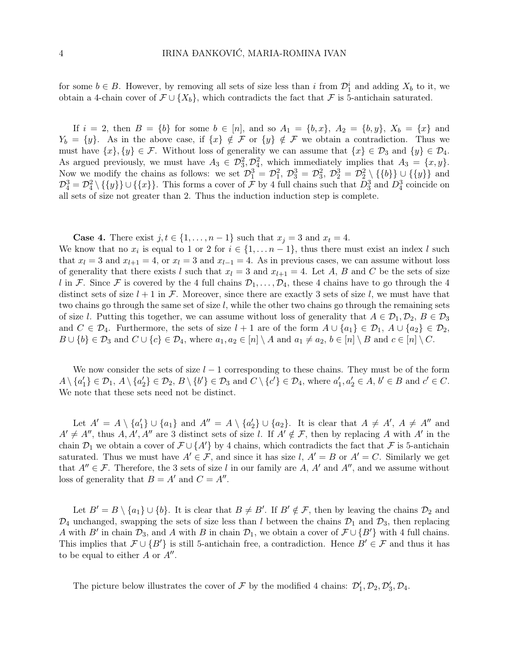for some  $b \in B$ . However, by removing all sets of size less than i from  $\mathcal{D}_1^i$  and adding  $X_b$  to it, we obtain a 4-chain cover of  $\mathcal{F} \cup \{X_b\}$ , which contradicts the fact that  $\mathcal{F}$  is 5-antichain saturated.

If  $i = 2$ , then  $B = \{b\}$  for some  $b \in [n]$ , and so  $A_1 = \{b, x\}$ ,  $A_2 = \{b, y\}$ ,  $X_b = \{x\}$  and  $Y_b = \{y\}$ . As in the above case, if  $\{x\} \notin \mathcal{F}$  or  $\{y\} \notin \mathcal{F}$  we obtain a contradiction. Thus we must have  $\{x\}, \{y\} \in \mathcal{F}$ . Without loss of generality we can assume that  $\{x\} \in \mathcal{D}_3$  and  $\{y\} \in \mathcal{D}_4$ . As argued previously, we must have  $A_3 \in \mathcal{D}_3^2, \mathcal{D}_4^2$ , which immediately implies that  $A_3 = \{x, y\}.$ Now we modify the chains as follows: we set  $\mathcal{D}_1^3 = \mathcal{D}_1^2$ ,  $\mathcal{D}_3^3 = \mathcal{D}_3^2$ ,  $\mathcal{D}_2^3 = \mathcal{D}_2^2 \setminus \{\{b\}\} \cup \{\{y\}\}\$ and  $\mathcal{D}_4^3 = \mathcal{D}_4^2 \setminus \{\{y\}\} \cup \{\{x\}\}\.$  This forms a cover of  $\mathcal F$  by 4 full chains such that  $D_3^3$  and  $D_4^3$  coincide on all sets of size not greater than 2. Thus the induction induction step is complete.

**Case 4.** There exist  $j, t \in \{1, \ldots, n-1\}$  such that  $x_j = 3$  and  $x_t = 4$ .

We know that no  $x_i$  is equal to 1 or 2 for  $i \in \{1, \ldots n-1\}$ , thus there must exist an index l such that  $x_l = 3$  and  $x_{l+1} = 4$ , or  $x_l = 3$  and  $x_{l-1} = 4$ . As in previous cases, we can assume without loss of generality that there exists l such that  $x_l = 3$  and  $x_{l+1} = 4$ . Let A, B and C be the sets of size l in F. Since F is covered by the 4 full chains  $\mathcal{D}_1, \ldots, \mathcal{D}_4$ , these 4 chains have to go through the 4 distinct sets of size  $l + 1$  in F. Moreover, since there are exactly 3 sets of size l, we must have that two chains go through the same set of size l, while the other two chains go through the remaining sets of size l. Putting this together, we can assume without loss of generality that  $A \in \mathcal{D}_1, \mathcal{D}_2, B \in \mathcal{D}_3$ and  $C \in \mathcal{D}_4$ . Furthermore, the sets of size  $l + 1$  are of the form  $A \cup \{a_1\} \in \mathcal{D}_1$ ,  $A \cup \{a_2\} \in \mathcal{D}_2$ ,  $B \cup \{b\} \in \mathcal{D}_3$  and  $C \cup \{c\} \in \mathcal{D}_4$ , where  $a_1, a_2 \in [n] \setminus A$  and  $a_1 \neq a_2, b \in [n] \setminus B$  and  $c \in [n] \setminus C$ .

We now consider the sets of size  $l-1$  corresponding to these chains. They must be of the form  $A \setminus \{a'_1\}$  $\{A\}\in\mathcal{D}_1, A\setminus\{a_2\}$  $Z'_2$ }  $\in \mathcal{D}_2$ ,  $B \setminus \{b'\} \in \mathcal{D}_3$  and  $C \setminus \{c'\} \in \mathcal{D}_4$ , where  $a'_1$  $a'_1, a'_2 \in A, b' \in B \text{ and } c' \in C.$ We note that these sets need not be distinct.

Let  $A' = A \setminus \{a'_1\}$  $\{A'_1\} \cup \{a_1\}$  and  $A'' = A \setminus \{a'_2\}$  $\{2\} \cup \{a_2\}.$  It is clear that  $A \neq A'$ ,  $A \neq A''$  and  $A' \neq A''$ , thus  $A, A', A''$  are 3 distinct sets of size l. If  $A' \notin \mathcal{F}$ , then by replacing A with A' in the chain  $\mathcal{D}_1$  we obtain a cover of  $\mathcal{F} \cup \{A'\}$  by 4 chains, which contradicts the fact that F is 5-antichain saturated. Thus we must have  $A' \in \mathcal{F}$ , and since it has size l,  $A' = B$  or  $A' = C$ . Similarly we get that  $A'' \in \mathcal{F}$ . Therefore, the 3 sets of size l in our family are A, A' and A'', and we assume without loss of generality that  $B = A'$  and  $C = A''$ .

Let  $B' = B \setminus \{a_1\} \cup \{b\}$ . It is clear that  $B \neq B'$ . If  $B' \notin \mathcal{F}$ , then by leaving the chains  $\mathcal{D}_2$  and  $\mathcal{D}_4$  unchanged, swapping the sets of size less than l between the chains  $\mathcal{D}_1$  and  $\mathcal{D}_3$ , then replacing A with B' in chain  $\mathcal{D}_3$ , and A with B in chain  $\mathcal{D}_1$ , we obtain a cover of  $\mathcal{F} \cup \{B'\}$  with 4 full chains. This implies that  $\mathcal{F} \cup \{B'\}$  is still 5-antichain free, a contradiction. Hence  $B' \in \mathcal{F}$  and thus it has to be equal to either  $\overrightarrow{A}$  or  $\overrightarrow{A}''$ .

The picture below illustrates the cover of  $\mathcal F$  by the modified 4 chains:  $\mathcal D'_1, \mathcal D_2, \mathcal D'_3, \mathcal D_4$ .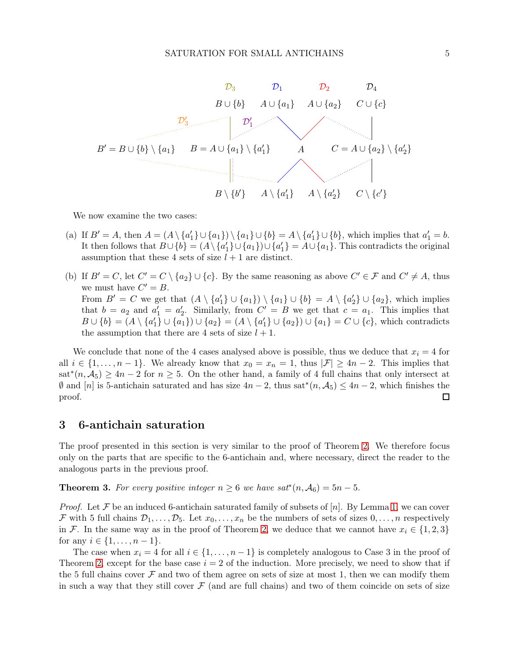

We now examine the two cases:

- (a) If  $B' = A$ , then  $A = (A \setminus \{a'_1\})$  ${1 \choose 1} \cup {a_1} \cup {b} = A \setminus {a'_1}$  $a'_1$   $\}$   $\cup$  {*b*}, which implies that  $a'_1 = b$ . It then follows that  $B \cup \{b\} = (A \setminus \{a\})$  $\{a_1\}\cup\{a_1\}\cup\{a_1'\}$  $\{A_1\}$  =  $A \cup \{a_1\}$ . This contradicts the original assumption that these 4 sets of size  $l + 1$  are distinct.
- (b) If  $B' = C$ , let  $C' = C \setminus \{a_2\} \cup \{c\}$ . By the same reasoning as above  $C' \in \mathcal{F}$  and  $C' \neq A$ , thus we must have  $C' = B$ . From  $B' = C$  we get that  $(A \setminus \{a'_1\})$  ${1 \choose 1} \cup {a_1} \cup {b} = A \setminus {a'_2}$  $\{2\} \cup \{a_2\}$ , which implies that  $b = a_2$  and  $a'_1 = a'_2$ 2. Similarly, from  $C' = B$  we get that  $c = a_1$ . This implies that  $B\cup \{b\} = \overline{(A\setminus \{a_1^{\prime\prime})}$  $\{ \{ a_1 \} \} \cup \{ a_1 \} \big) \cup \{ a_2 \} = (A \setminus \{ a_1' \})$  ${1} \setminus \{a_2\} \cup \{a_1\} = C \cup \{c\}$ , which contradicts the assumption that there are 4 sets of size  $l + 1$ .

We conclude that none of the 4 cases analysed above is possible, thus we deduce that  $x_i = 4$  for all  $i \in \{1, \ldots, n-1\}$ . We already know that  $x_0 = x_n = 1$ , thus  $|\mathcal{F}| \geq 4n-2$ . This implies that  $\text{sat}^*(n, \mathcal{A}_5) \geq 4n-2$  for  $n \geq 5$ . On the other hand, a family of 4 full chains that only intersect at  $\emptyset$  and  $[n]$  is 5-antichain saturated and has size  $4n-2$ , thus sat<sup>\*</sup> $(n, \mathcal{A}_5)$  ≤  $4n-2$ , which finishes the proof. □

## 3 6-antichain saturation

The proof presented in this section is very similar to the proof of Theorem [2.](#page-1-1) We therefore focus only on the parts that are specific to the 6-antichain and, where necessary, direct the reader to the analogous parts in the previous proof.

**Theorem 3.** For every positive integer  $n \geq 6$  we have  $sat^*(n, \mathcal{A}_6) = 5n - 5$ .

*Proof.* Let F be an induced 6-antichain saturated family of subsets of  $[n]$ . By Lemma [1,](#page-1-0) we can cover F with 5 full chains  $\mathcal{D}_1,\ldots,\mathcal{D}_5$ . Let  $x_0,\ldots,x_n$  be the numbers of sets of sizes  $0,\ldots,n$  respectively in F. In the same way as in the proof of Theorem [2,](#page-1-1) we deduce that we cannot have  $x_i \in \{1,2,3\}$ for any  $i \in \{1, ..., n-1\}$ .

The case when  $x_i = 4$  for all  $i \in \{1, \ldots, n-1\}$  is completely analogous to Case 3 in the proof of Theorem [2,](#page-1-1) except for the base case  $i = 2$  of the induction. More precisely, we need to show that if the 5 full chains cover  $\mathcal F$  and two of them agree on sets of size at most 1, then we can modify them in such a way that they still cover  $\mathcal F$  (and are full chains) and two of them coincide on sets of size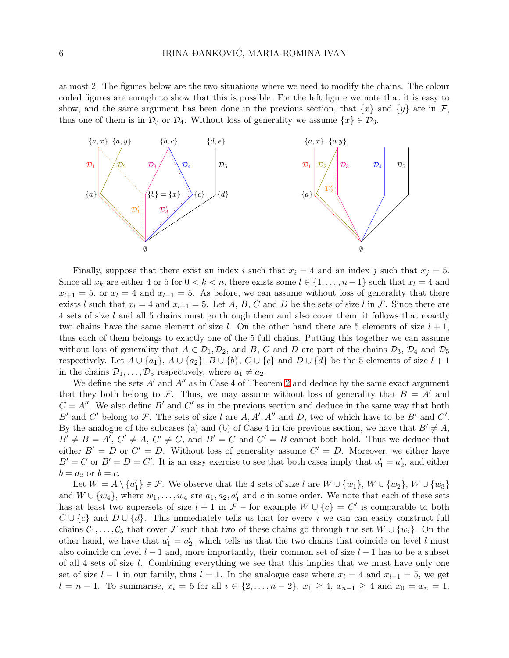at most 2. The figures below are the two situations where we need to modify the chains. The colour coded figures are enough to show that this is possible. For the left figure we note that it is easy to show, and the same argument has been done in the previous section, that  $\{x\}$  and  $\{y\}$  are in F, thus one of them is in  $\mathcal{D}_3$  or  $\mathcal{D}_4$ . Without loss of generality we assume  $\{x\} \in \mathcal{D}_3$ .



Finally, suppose that there exist an index i such that  $x_i = 4$  and an index j such that  $x_i = 5$ . Since all  $x_k$  are either 4 or 5 for  $0 < k < n$ , there exists some  $l \in \{1, \ldots, n-1\}$  such that  $x_l = 4$  and  $x_{l+1} = 5$ , or  $x_l = 4$  and  $x_{l-1} = 5$ . As before, we can assume without loss of generality that there exists l such that  $x_l = 4$  and  $x_{l+1} = 5$ . Let A, B, C and D be the sets of size l in F. Since there are 4 sets of size l and all 5 chains must go through them and also cover them, it follows that exactly two chains have the same element of size l. On the other hand there are 5 elements of size  $l + 1$ , thus each of them belongs to exactly one of the 5 full chains. Putting this together we can assume without loss of generality that  $A \in \mathcal{D}_1, \mathcal{D}_2$ , and B, C and D are part of the chains  $\mathcal{D}_3$ ,  $\mathcal{D}_4$  and  $\mathcal{D}_5$ respectively. Let  $A \cup \{a_1\}$ ,  $A \cup \{a_2\}$ ,  $B \cup \{b\}$ ,  $C \cup \{c\}$  and  $D \cup \{d\}$  be the 5 elements of size  $l + 1$ in the chains  $\mathcal{D}_1, \ldots, \mathcal{D}_5$  respectively, where  $a_1 \neq a_2$ .

We define the sets  $A'$  and  $A''$  as in Case 4 of Theorem [2](#page-1-1) and deduce by the same exact argument that they both belong to F. Thus, we may assume without loss of generality that  $B = A'$  and  $C = A''$ . We also define B' and C' as in the previous section and deduce in the same way that both B' and C' belong to F. The sets of size l are  $A, A', A''$  and D, two of which have to be B' and C'. By the analogue of the subcases (a) and (b) of Case 4 in the previous section, we have that  $B' \neq A$ ,  $B' \neq B = A', C' \neq A, C' \neq C$ , and  $B' = C$  and  $C' = B$  cannot both hold. Thus we deduce that either  $B' = D$  or  $C' = D$ . Without loss of generality assume  $C' = D$ . Moreover, we either have  $B' = C$  or  $B' = D = C'$ . It is an easy exercise to see that both cases imply that  $a'_1 = a'_2$  $'_{2}$ , and either  $b = a_2$  or  $b = c$ .

Let  $W = A \setminus \{a_1\}$  $\{1\} \in \mathcal{F}$ . We observe that the 4 sets of size l are  $W \cup \{w_1\}$ ,  $W \cup \{w_2\}$ ,  $W \cup \{w_3\}$ and  $W \cup \{w_4\}$ , where  $w_1, \ldots, w_4$  are  $a_1, a_2, a'_1$  and c in some order. We note that each of these sets has at least two supersets of size  $l + 1$  in  $\mathcal{F}$  – for example  $W \cup \{c\} = C'$  is comparable to both  $C \cup \{c\}$  and  $D \cup \{d\}$ . This immediately tells us that for every i we can can easily construct full chains  $C_1, \ldots, C_5$  that cover F such that two of these chains go through the set  $W \cup \{w_i\}$ . On the other hand, we have that  $a'_1 = a'_2$  $'_{2}$ , which tells us that the two chains that coincide on level l must also coincide on level  $l-1$  and, more importantly, their common set of size  $l-1$  has to be a subset of all 4 sets of size l. Combining everything we see that this implies that we must have only one set of size  $l - 1$  in our family, thus  $l = 1$ . In the analogue case where  $x_l = 4$  and  $x_{l-1} = 5$ , we get  $l = n - 1$ . To summarise,  $x_i = 5$  for all  $i \in \{2, ..., n - 2\}$ ,  $x_1 \ge 4$ ,  $x_{n-1} \ge 4$  and  $x_0 = x_n = 1$ .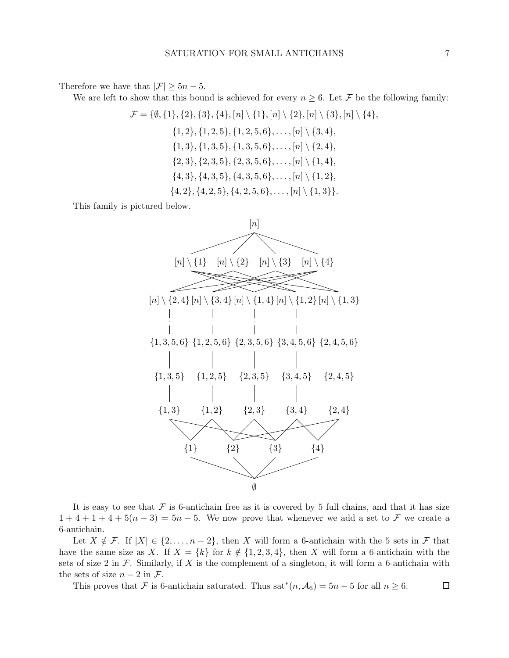Therefore we have that  $|\mathcal{F}| \geq 5n - 5$ .

We are left to show that this bound is achieved for every  $n \geq 6$ . Let F be the following family:

$$
\mathcal{F} = \{\emptyset, \{1\}, \{2\}, \{3\}, \{4\}, [n] \setminus \{1\}, [n] \setminus \{2\}, [n] \setminus \{3\}, [n] \setminus \{4\},
$$
  

$$
\{1, 2\}, \{1, 2, 5\}, \{1, 2, 5, 6\}, \ldots, [n] \setminus \{3, 4\},
$$
  

$$
\{1, 3\}, \{1, 3, 5\}, \{1, 3, 5, 6\}, \ldots, [n] \setminus \{2, 4\},
$$
  

$$
\{2, 3\}, \{2, 3, 5\}, \{2, 3, 5, 6\}, \ldots, [n] \setminus \{1, 4\},
$$
  

$$
\{4, 3\}, \{4, 3, 5\}, \{4, 3, 5, 6\}, \ldots, [n] \setminus \{1, 2\},
$$
  

$$
\{4, 2\}, \{4, 2, 5\}, \{4, 2, 5, 6\}, \ldots, [n] \setminus \{1, 3\}.
$$

This family is pictured below.



It is easy to see that  $\mathcal F$  is 6-antichain free as it is covered by 5 full chains, and that it has size  $1+4+1+4+5(n-3) = 5n-5$ . We now prove that whenever we add a set to F we create a 6-antichain.

Let  $X \notin \mathcal{F}$ . If  $|X| \in \{2, \ldots, n-2\}$ , then X will form a 6-antichain with the 5 sets in  $\mathcal{F}$  that have the same size as X. If  $X = \{k\}$  for  $k \notin \{1, 2, 3, 4\}$ , then X will form a 6-antichain with the sets of size 2 in  $\mathcal F$ . Similarly, if X is the complement of a singleton, it will form a 6-antichain with the sets of size  $n-2$  in  $\mathcal{F}$ .

This proves that F is 6-antichain saturated. Thus  $sat^*(n, \mathcal{A}_6) = 5n - 5$  for all  $n \geq 6$ .  $\Box$